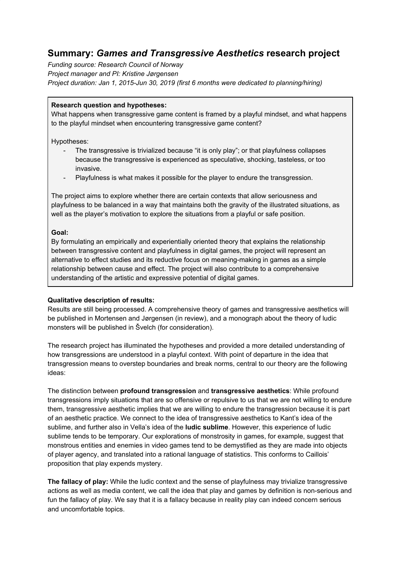# **Summary:** *Games and Transgressive Aesthetics* **research project**

*Funding source: Research Council of Norway Project manager and PI: Kristine Jørgensen Project duration: Jan 1, 2015-Jun 30, 2019 (first 6 months were dedicated to planning/hiring)*

## **Research question and hypotheses:**

What happens when transgressive game content is framed by a playful mindset, and what happens to the playful mindset when encountering transgressive game content?

Hypotheses:

- The transgressive is trivialized because "it is only play"; or that playfulness collapses because the transgressive is experienced as speculative, shocking, tasteless, or too invasive.
- Playfulness is what makes it possible for the player to endure the transgression.

The project aims to explore whether there are certain contexts that allow seriousness and playfulness to be balanced in a way that maintains both the gravity of the illustrated situations, as well as the player's motivation to explore the situations from a playful or safe position.

## **Goal:**

By formulating an empirically and experientially oriented theory that explains the relationship between transgressive content and playfulness in digital games, the project will represent an alternative to effect studies and its reductive focus on meaning-making in games as a simple relationship between cause and effect. The project will also contribute to a comprehensive understanding of the artistic and expressive potential of digital games.

# **Qualitative description of results:**

Results are still being processed. A comprehensive theory of games and transgressive aesthetics will be published in Mortensen and Jørgensen (in review), and a monograph about the theory of ludic monsters will be published in Švelch (for consideration).

The research project has illuminated the hypotheses and provided a more detailed understanding of how transgressions are understood in a playful context. With point of departure in the idea that transgression means to overstep boundaries and break norms, central to our theory are the following ideas:

The distinction between **profound transgression** and **transgressive aesthetics**: While profound transgressions imply situations that are so offensive or repulsive to us that we are not willing to endure them, transgressive aesthetic implies that we are willing to endure the transgression because it is part of an aesthetic practice. We connect to the idea of transgressive aesthetics to Kant's idea of the sublime, and further also in Vella's idea of the **ludic sublime**. However, this experience of ludic sublime tends to be temporary. Our explorations of monstrosity in games, for example, suggest that monstrous entities and enemies in video games tend to be demystified as they are made into objects of player agency, and translated into a rational language of statistics. This conforms to Caillois' proposition that play expends mystery.

**The fallacy of play:** While the ludic context and the sense of playfulness may trivialize transgressive actions as well as media content, we call the idea that play and games by definition is non-serious and fun the fallacy of play. We say that it is a fallacy because in reality play can indeed concern serious and uncomfortable topics.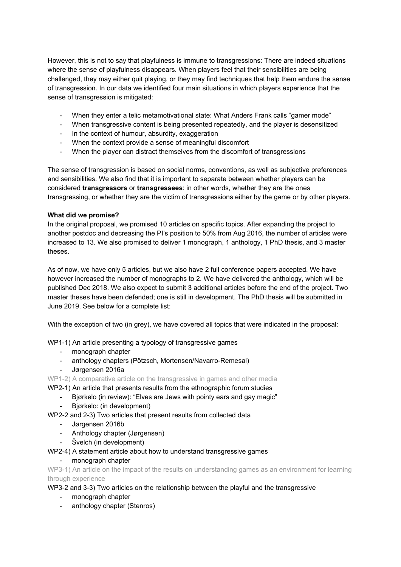However, this is not to say that playfulness is immune to transgressions: There are indeed situations where the sense of playfulness disappears. When players feel that their sensibilities are being challenged, they may either quit playing, or they may find techniques that help them endure the sense of transgression. In our data we identified four main situations in which players experience that the sense of transgression is mitigated:

- When they enter a telic metamotivational state: What Anders Frank calls "gamer mode"
- When transgressive content is being presented repeatedly, and the player is desensitized
- In the context of humour, absurdity, exaggeration
- When the context provide a sense of meaningful discomfort
- When the player can distract themselves from the discomfort of transgressions

The sense of transgression is based on social norms, conventions, as well as subjective preferences and sensibilities. We also find that it is important to separate between whether players can be considered **transgressors** or **transgressees**: in other words, whether they are the ones transgressing, or whether they are the victim of transgressions either by the game or by other players.

## **What did we promise?**

In the original proposal, we promised 10 articles on specific topics. After expanding the project to another postdoc and decreasing the PI's position to 50% from Aug 2016, the number of articles were increased to 13. We also promised to deliver 1 monograph, 1 anthology, 1 PhD thesis, and 3 master theses.

As of now, we have only 5 articles, but we also have 2 full conference papers accepted. We have however increased the number of monographs to 2. We have delivered the anthology, which will be published Dec 2018. We also expect to submit 3 additional articles before the end of the project. Two master theses have been defended; one is still in development. The PhD thesis will be submitted in June 2019. See below for a complete list:

With the exception of two (in grey), we have covered all topics that were indicated in the proposal:

WP1-1) An article presenting a typology of transgressive games

- monograph chapter
- anthology chapters (Pötzsch, Mortensen/Navarro-Remesal)
- Jørgensen 2016a

WP1-2) A comparative article on the transgressive in games and other media

- WP2-1) An article that presents results from the ethnographic forum studies
	- Bjørkelo (in review): "Elves are Jews with pointy ears and gay magic"
	- Bjørkelo: (in development)
- WP2-2 and 2-3) Two articles that present results from collected data
	- Jørgensen 2016b
	- Anthology chapter (Jørgensen)
	- Švelch (in development)

# WP2-4) A statement article about how to understand transgressive games

# - monograph chapter

WP3-1) An article on the impact of the results on understanding games as an environment for learning through experience

WP3-2 and 3-3) Two articles on the relationship between the playful and the transgressive

- monograph chapter
- anthology chapter (Stenros)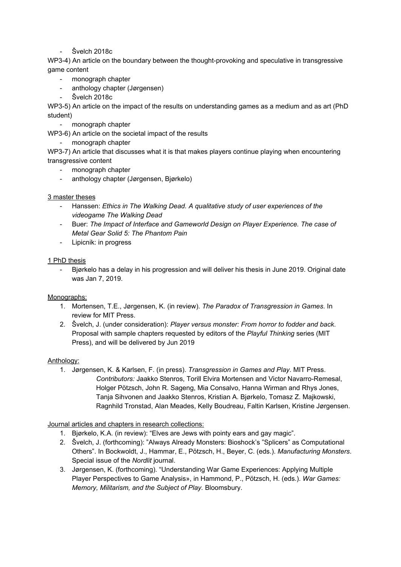Švelch 2018c

WP3-4) An article on the boundary between the thought-provoking and speculative in transgressive game content

- monograph chapter
- anthology chapter (Jørgensen)
- Švelch 2018c

WP3-5) An article on the impact of the results on understanding games as a medium and as art (PhD student)

- monograph chapter

WP3-6) An article on the societal impact of the results

- monograph chapter

WP3-7) An article that discusses what it is that makes players continue playing when encountering transgressive content

- monograph chapter
- anthology chapter (Jørgensen, Bjørkelo)

## 3 master theses

- Hanssen: *Ethics in The Walking Dead. A qualitative study of user experiences of the videogame The Walking Dead*
- Buer: *The Impact of Interface and Gameworld Design on Player Experience. The case of Metal Gear Solid 5: The Phantom Pain*
- Lipicnik: in progress

## 1 PhD thesis

- Bjørkelo has a delay in his progression and will deliver his thesis in June 2019. Original date was Jan 7, 2019.

#### Monographs:

- 1. Mortensen, T.E., Jørgensen, K. (in review). *The Paradox of Transgression in Games*. In review for MIT Press.
- 2. Švelch, J. (under consideration): *Player versus monster: From horror to fodder and back*. Proposal with sample chapters requested by editors of the *Playful Thinking* series (MIT Press), and will be delivered by Jun 2019

#### Anthology:

1. Jørgensen, K. & Karlsen, F. (in press). *Transgression in Games and Play*. MIT Press. *Contributors:* Jaakko Stenros, Torill Elvira Mortensen and Victor Navarro-Remesal, Holger Pötzsch, John R. Sageng, Mia Consalvo, Hanna Wirman and Rhys Jones, Tanja Sihvonen and Jaakko Stenros, Kristian A. Bjørkelo, Tomasz Z. Majkowski, Ragnhild Tronstad, Alan Meades, Kelly Boudreau, Faltin Karlsen, Kristine Jørgensen.

#### Journal articles and chapters in research collections:

- 1. Bjørkelo, K.A. (in review): "Elves are Jews with pointy ears and gay magic".
- 2. Švelch, J. (forthcoming): "Always Already Monsters: Bioshock's "Splicers" as Computational Others". In Bockwoldt, J., Hammar, E., Pötzsch, H., Beyer, C. (eds.). *Manufacturing Monsters*. Special issue of the *Nordlit* journal.
- 3. Jørgensen, K. (forthcoming). "Understanding War Game Experiences: Applying Multiple Player Perspectives to Game Analysis», in Hammond, P., Pötzsch, H. (eds.). *War Games: Memory, Militarism, and the Subject of Play.* Bloomsbury.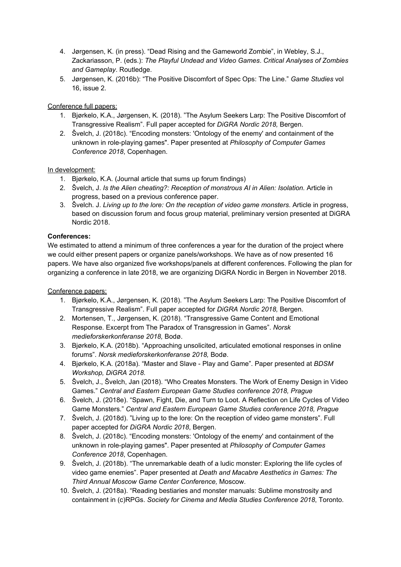- 4. Jørgensen, K. (in press). "Dead Rising and the Gameworld Zombie", in Webley, S.J., Zackariasson, P. (eds.): *The Playful Undead and Video Games*. *Critical Analyses of Zombies and Gameplay*. Routledge.
- 5. Jørgensen, K. (2016b): "The Positive Discomfort of Spec Ops: The Line." *Game Studies* vol 16, issue 2.

# Conference full papers:

- 1. Bjørkelo, K.A., Jørgensen, K*.* (2018). "The Asylum Seekers Larp: The Positive Discomfort of Transgressive Realism". Full paper accepted for *DiGRA Nordic 2018,* Bergen.
- 2. Švelch, J. (2018c). "Encoding monsters: 'Ontology of the enemy' and containment of the unknown in role-playing games". Paper presented at *Philosophy of Computer Games Conference 2018*, Copenhagen.

# In development:

- 1. Bjørkelo, K.A. (Journal article that sums up forum findings)
- 2. Švelch, J. *Is the Alien cheating?: Reception of monstrous AI in Alien: Isolation.* Article in progress, based on a previous conference paper.
- 3. Švelch. J. *Living up to the lore: On the reception of video game monsters*. Article in progress, based on discussion forum and focus group material, preliminary version presented at DiGRA Nordic 2018.

## **Conferences:**

We estimated to attend a minimum of three conferences a year for the duration of the project where we could either present papers or organize panels/workshops. We have as of now presented 16 papers. We have also organized five workshops/panels at different conferences. Following the plan for organizing a conference in late 2018, we are organizing DiGRA Nordic in Bergen in November 2018.

#### Conference papers:

- 1. Bjørkelo, K.A., Jørgensen, K*.* (2018). "The Asylum Seekers Larp: The Positive Discomfort of Transgressive Realism". Full paper accepted for *DiGRA Nordic 2018,* Bergen.
- 2. Mortensen, T., Jørgensen, K. (2018). "Transgressive Game Content and Emotional Response. Excerpt from The Paradox of Transgression in Games". *Norsk medieforskerkonferanse 2018,* Bodø.
- 3. Bjørkelo, K.A. (2018b). "Approaching unsolicited, articulated emotional responses in online forums". *Norsk medieforskerkonferanse 2018,* Bodø.
- 4. Bjørkelo, K.A. (2018a). "Master and Slave Play and Game". Paper presented at *BDSM Workshop, DiGRA 2018.*
- 5. Švelch, J., Švelch, Jan (2018). "Who Creates Monsters. The Work of Enemy Design in Video Games." *Central and Eastern European Game Studies conference 2018, Prague*
- 6. Švelch, J. (2018e). "Spawn, Fight, Die, and Turn to Loot. A Reflection on Life Cycles of Video Game Monsters." *Central and Eastern European Game Studies conference 2018, Prague*
- 7. Švelch, J. (2018d). "Living up to the lore: On the reception of video game monsters". Full paper accepted for *DiGRA Nordic 2018*, Bergen.
- 8. Švelch, J. (2018c). "Encoding monsters: 'Ontology of the enemy' and containment of the unknown in role-playing games". Paper presented at *Philosophy of Computer Games Conference 2018*, Copenhagen.
- 9. Švelch, J. (2018b). "The unremarkable death of a ludic monster: Exploring the life cycles of video game enemies". Paper presented at *Death and Macabre Aesthetics in Games: The Third Annual Moscow Game Center Conference,* Moscow.
- 10. Švelch, J. (2018a). "Reading bestiaries and monster manuals: Sublime monstrosity and containment in (c)RPGs. *Society for Cinema and Media Studies Conference 2018*, Toronto.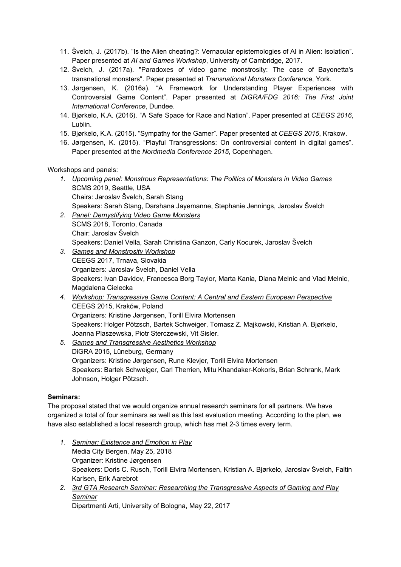- 11. Švelch, J. (2017b). "Is the Alien cheating?: Vernacular epistemologies of AI in Alien: Isolation". Paper presented at *AI and Games Workshop*, University of Cambridge, 2017.
- 12. Švelch, J. (2017a). "Paradoxes of video game monstrosity: The case of Bayonetta's transnational monsters". Paper presented at *Transnational Monsters Conference*, York.
- 13. Jørgensen, K. (2016a). "A Framework for Understanding Player Experiences with Controversial Game Content". Paper presented at *DiGRA/FDG 2016: The First Joint International Conference*, Dundee.
- 14. Bjørkelo, K.A. (2016). "A Safe Space for Race and Nation". Paper presented at *CEEGS 2016*, Lublin.
- 15. Bjørkelo, K.A. (2015). "Sympathy for the Gamer". Paper presented at *CEEGS 2015*, Krakow.
- 16. Jørgensen, K. (2015). "Playful Transgressions: On controversial content in digital games". Paper presented at the *Nordmedia Conference 2015*, Copenhagen.

Workshops and panels:

- *1. Upcoming panel: Monstrous Representations: The Politics of Monsters in Video Games* SCMS 2019, Seattle, USA Chairs: Jaroslav Švelch, Sarah Stang Speakers: Sarah Stang, Darshana Jayemanne, Stephanie Jennings, Jaroslav Švelch
- *2. Panel: Demystifying Video Game Monsters* SCMS 2018, Toronto, Canada Chair: Jaroslav Švelch Speakers: Daniel Vella, Sarah Christina Ganzon, Carly Kocurek, Jaroslav Švelch
- *3. Games and Monstrosity Workshop* CEEGS 2017, Trnava, Slovakia Organizers: Jaroslav Švelch, Daniel Vella Speakers: Ivan Davidov, Francesca Borg Taylor, Marta Kania, Diana Melnic and Vlad Melnic, Magdalena Cielecka
- *4. Workshop: Transgressive Game Content: A Central and Eastern European Perspective* CEEGS 2015, Kraków, Poland Organizers: Kristine Jørgensen, Torill Elvira Mortensen Speakers: Holger Pötzsch, Bartek Schweiger, Tomasz Z. Majkowski, Kristian A. Bjørkelo, Joanna Plaszewska, Piotr Sterczewski, Vit Sisler.
- *5. Games and Transgressive Aesthetics Workshop* DiGRA 2015, Lüneburg, Germany Organizers: Kristine Jørgensen, Rune Klevjer, Torill Elvira Mortensen Speakers: Bartek Schweiger, Carl Therrien, Mitu Khandaker-Kokoris, Brian Schrank, Mark Johnson, Holger Pötzsch.

# **Seminars:**

The proposal stated that we would organize annual research seminars for all partners. We have organized a total of four seminars as well as this last evaluation meeting. According to the plan, we have also established a local research group, which has met 2-3 times every term.

- *1. Seminar: Existence and Emotion in Play* Media City Bergen, May 25, 2018 Organizer: Kristine Jørgensen Speakers: Doris C. Rusch, Torill Elvira Mortensen, Kristian A. Bjørkelo, Jaroslav Švelch, Faltin Karlsen, Erik Aarebrot
- *2. 3rd GTA Research Seminar: Researching the Transgressive Aspects of Gaming and Play Seminar*

Dipartmenti Arti, University of Bologna, May 22, 2017